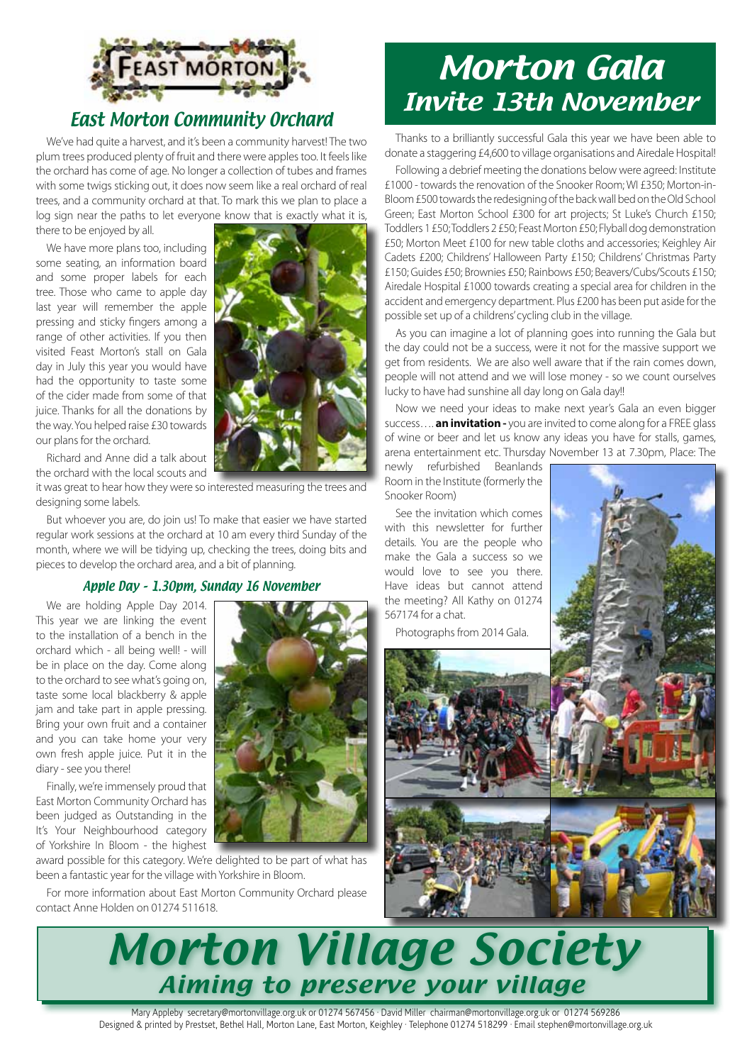

# East Morton Community Orchard

We've had quite a harvest, and it's been a community harvest! The two plum trees produced plenty of fruit and there were apples too. It feels like the orchard has come of age. No longer a collection of tubes and frames with some twigs sticking out, it does now seem like a real orchard of real trees, and a community orchard at that. To mark this we plan to place a log sign near the paths to let everyone know that is exactly what it is,

there to be enjoyed by all.

We have more plans too, including some seating, an information board and some proper labels for each tree. Those who came to apple day last year will remember the apple pressing and sticky fingers among a range of other activities. If you then visited Feast Morton's stall on Gala day in July this year you would have had the opportunity to taste some of the cider made from some of that juice. Thanks for all the donations by the way. You helped raise £30 towards our plans for the orchard.



Richard and Anne did a talk about the orchard with the local scouts and

it was great to hear how they were so interested measuring the trees and designing some labels.

But whoever you are, do join us! To make that easier we have started regular work sessions at the orchard at 10 am every third Sunday of the month, where we will be tidying up, checking the trees, doing bits and pieces to develop the orchard area, and a bit of planning.

#### Apple Day – 1.30pm, Sunday 16 November

We are holding Apple Day 2014. This year we are linking the event to the installation of a bench in the orchard which - all being well! - will be in place on the day. Come along to the orchard to see what's going on, taste some local blackberry & apple jam and take part in apple pressing. Bring your own fruit and a container and you can take home your very own fresh apple juice. Put it in the diary - see you there!

Finally, we're immensely proud that East Morton Community Orchard has been judged as Outstanding in the It's Your Neighbourhood category of Yorkshire In Bloom - the highest

award possible for this category. We're delighted to be part of what has been a fantastic year for the village with Yorkshire in Bloom.

For more information about East Morton Community Orchard please contact Anne Holden on 01274 511618.

# Morton Gala Invite 13th November

Thanks to a brilliantly successful Gala this year we have been able to donate a staggering £4,600 to village organisations and Airedale Hospital!

Following a debrief meeting the donations below were agreed: Institute £1000 - towards the renovation of the Snooker Room; WI £350; Morton-in-Bloom £500 towards the redesigning of the back wall bed on the Old School Green; East Morton School £300 for art projects; St Luke's Church £150; Toddlers 1 £50; Toddlers 2 £50; Feast Morton £50; Flyball dog demonstration £50; Morton Meet £100 for new table cloths and accessories; Keighley Air Cadets £200; Childrens' Halloween Party £150; Childrens' Christmas Party £150; Guides £50; Brownies £50; Rainbows £50; Beavers/Cubs/Scouts £150; Airedale Hospital £1000 towards creating a special area for children in the accident and emergency department. Plus £200 has been put aside for the possible set up of a childrens' cycling club in the village.

As you can imagine a lot of planning goes into running the Gala but the day could not be a success, were it not for the massive support we get from residents. We are also well aware that if the rain comes down, people will not attend and we will lose money - so we count ourselves lucky to have had sunshine all day long on Gala day!!

Now we need your ideas to make next year's Gala an even bigger success…. **an invitation -** you are invited to come along for a FREE glass of wine or beer and let us know any ideas you have for stalls, games, arena entertainment etc. Thursday November 13 at 7.30pm, Place: The

newly refurbished Beanlands Room in the Institute (formerly the Snooker Room)

See the invitation which comes with this newsletter for further details. You are the people who make the Gala a success so we would love to see you there. Have ideas but cannot attend the meeting? All Kathy on 01274 567174 for a chat.

Photographs from 2014 Gala.





Mary Appleby secretary@mortonvillage.org.uk or 01274 567456 · David Miller chairman@mortonvillage.org.uk or 01274 569286 Designed & printed by Prestset, Bethel Hall, Morton Lane, East Morton, Keighley · Telephone 01274 518299 · Email stephen@mortonvillage.org.uk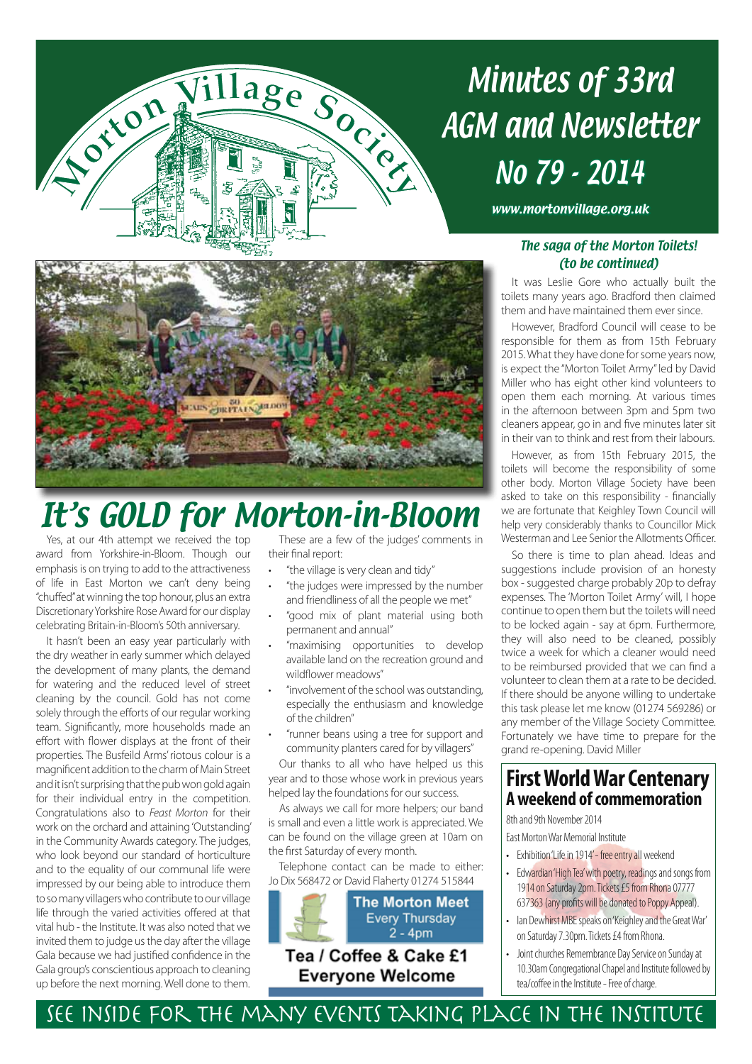

# Minutes of 33rd AGM and Newsletter No 79 - 2014

www.mortonvillage.org.uk



# It's GOLD for Morton-in-Bloom

Yes, at our 4th attempt we received the top award from Yorkshire-in-Bloom. Though our emphasis is on trying to add to the attractiveness of life in East Morton we can't deny being "chuffed" at winning the top honour, plus an extra Discretionary Yorkshire Rose Award for our display celebrating Britain-in-Bloom's 50th anniversary.

It hasn't been an easy year particularly with the dry weather in early summer which delayed the development of many plants, the demand for watering and the reduced level of street cleaning by the council. Gold has not come solely through the efforts of our regular working team. Significantly, more households made an effort with flower displays at the front of their properties. The Busfeild Arms' riotous colour is a magnificent addition to the charm of Main Street and it isn't surprising that the pub won gold again for their individual entry in the competition. Congratulations also to *Feast Morton* for their work on the orchard and attaining 'Outstanding' in the Community Awards category. The judges, who look beyond our standard of horticulture and to the equality of our communal life were impressed by our being able to introduce them to so many villagers who contribute to our village life through the varied activities offered at that vital hub - the Institute. It was also noted that we invited them to judge us the day after the village Gala because we had justified confidence in the Gala group's conscientious approach to cleaning up before the next morning. Well done to them.

These are a few of the judges' comments in their final report:

- "the village is very clean and tidy"
- "the judges were impressed by the number and friendliness of all the people we met"
- "good mix of plant material using both permanent and annual"
- "maximising opportunities to develop available land on the recreation ground and wildflower meadows"
- • "involvement of the school was outstanding, especially the enthusiasm and knowledge of the children"
- "runner beans using a tree for support and community planters cared for by villagers"

Our thanks to all who have helped us this year and to those whose work in previous years helped lay the foundations for our success.

As always we call for more helpers; our band is small and even a little work is appreciated. We can be found on the village green at 10am on the first Saturday of every month.

Telephone contact can be made to either: Jo Dix 568472 or David Flaherty 01274 515844



### The saga of the Morton Toilets! (to be continued)

It was Leslie Gore who actually built the toilets many years ago. Bradford then claimed them and have maintained them ever since.

However, Bradford Council will cease to be responsible for them as from 15th February 2015. What they have done for some years now, is expect the "Morton Toilet Army" led by David Miller who has eight other kind volunteers to open them each morning. At various times in the afternoon between 3pm and 5pm two cleaners appear, go in and five minutes later sit in their van to think and rest from their labours.

However, as from 15th February 2015, the toilets will become the responsibility of some other body. Morton Village Society have been asked to take on this responsibility - financially we are fortunate that Keighley Town Council will help very considerably thanks to Councillor Mick Westerman and Lee Senior the Allotments Officer.

So there is time to plan ahead. Ideas and suggestions include provision of an honesty box - suggested charge probably 20p to defray expenses. The 'Morton Toilet Army' will, I hope continue to open them but the toilets will need to be locked again - say at 6pm. Furthermore, they will also need to be cleaned, possibly twice a week for which a cleaner would need to be reimbursed provided that we can find a volunteer to clean them at a rate to be decided. If there should be anyone willing to undertake this task please let me know (01274 569286) or any member of the Village Society Committee. Fortunately we have time to prepare for the grand re-opening. David Miller

# **First World War Centenary A weekend of commemoration**

8th and 9th November 2014

East Morton War Memorial Institute

- Exhibition 'Life in 1914' free entry all weekend
- Edwardian 'High Tea' with poetry, readings and songs from 1914 on Saturday 2pm. Tickets £5 from Rhona 07777 637363 (any profits will be donated to Poppy Appeal).
- Ian Dewhirst MBE speaks on 'Keighley and the Great War' on Saturday 7.30pm. Tickets £4 from Rhona.
- Joint churches Remembrance Day Service on Sunday at 10.30am Congregational Chapel and Institute followed by tea/coffee in the Institute - Free of charge.

See inside for the many events taking place in the Institute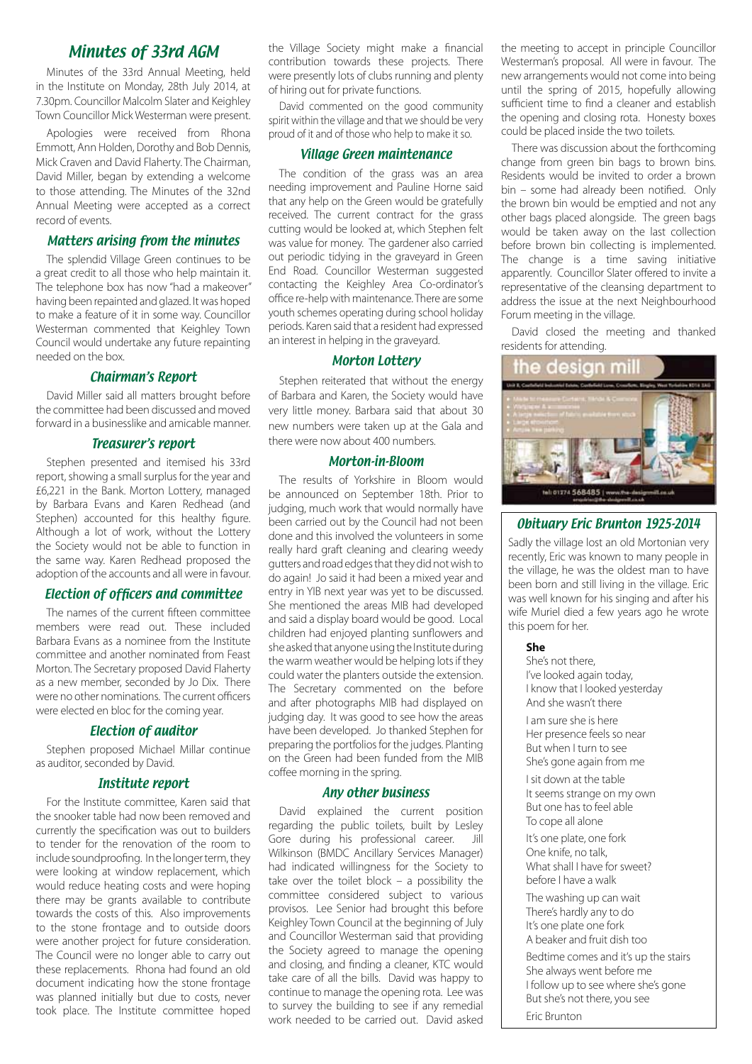## Minutes of 33rd AGM

Minutes of the 33rd Annual Meeting, held in the Institute on Monday, 28th July 2014, at 7.30pm. Councillor Malcolm Slater and Keighley Town Councillor Mick Westerman were present.

Apologies were received from Rhona Emmott, Ann Holden, Dorothy and Bob Dennis, Mick Craven and David Flaherty. The Chairman, David Miller, began by extending a welcome to those attending. The Minutes of the 32nd Annual Meeting were accepted as a correct record of events.

#### Matters arising from the minutes

The splendid Village Green continues to be a great credit to all those who help maintain it. The telephone box has now "had a makeover" having been repainted and glazed. It was hoped to make a feature of it in some way. Councillor Westerman commented that Keighley Town Council would undertake any future repainting needed on the box.

#### Chairman's Report

David Miller said all matters brought before the committee had been discussed and moved forward in a businesslike and amicable manner.

#### Treasurer's report

Stephen presented and itemised his 33rd report, showing a small surplus for the year and £6,221 in the Bank. Morton Lottery, managed by Barbara Evans and Karen Redhead (and Stephen) accounted for this healthy figure. Although a lot of work, without the Lottery the Society would not be able to function in the same way. Karen Redhead proposed the adoption of the accounts and all were in favour.

#### Election of officers and committee

The names of the current fifteen committee members were read out. These included Barbara Evans as a nominee from the Institute committee and another nominated from Feast Morton. The Secretary proposed David Flaherty as a new member, seconded by Jo Dix. There were no other nominations. The current officers were elected en bloc for the coming year.

#### Election of auditor

Stephen proposed Michael Millar continue as auditor, seconded by David.

#### Institute report

For the Institute committee, Karen said that the snooker table had now been removed and currently the specification was out to builders to tender for the renovation of the room to include soundproofing. In the longer term, they were looking at window replacement, which would reduce heating costs and were hoping there may be grants available to contribute towards the costs of this. Also improvements to the stone frontage and to outside doors were another project for future consideration. The Council were no longer able to carry out these replacements. Rhona had found an old document indicating how the stone frontage was planned initially but due to costs, never took place. The Institute committee hoped the Village Society might make a financial contribution towards these projects. There were presently lots of clubs running and plenty of hiring out for private functions.

David commented on the good community spirit within the village and that we should be very proud of it and of those who help to make it so.

#### Village Green maintenance

The condition of the grass was an area needing improvement and Pauline Horne said that any help on the Green would be gratefully received. The current contract for the grass cutting would be looked at, which Stephen felt was value for money. The gardener also carried out periodic tidying in the graveyard in Green End Road. Councillor Westerman suggested contacting the Keighley Area Co-ordinator's office re-help with maintenance. There are some youth schemes operating during school holiday periods. Karen said that a resident had expressed an interest in helping in the graveyard.

#### Morton Lottery

Stephen reiterated that without the energy of Barbara and Karen, the Society would have very little money. Barbara said that about 30 new numbers were taken up at the Gala and there were now about 400 numbers.

#### Morton-in-Bloom

The results of Yorkshire in Bloom would be announced on September 18th. Prior to judging, much work that would normally have been carried out by the Council had not been done and this involved the volunteers in some really hard graft cleaning and clearing weedy gutters and road edges that they did not wish to do again! Jo said it had been a mixed year and entry in YIB next year was yet to be discussed. She mentioned the areas MIB had developed and said a display board would be good. Local children had enjoyed planting sunflowers and she asked that anyone using the Institute during the warm weather would be helping lots if they could water the planters outside the extension. The Secretary commented on the before and after photographs MIB had displayed on judging day. It was good to see how the areas have been developed. Jo thanked Stephen for preparing the portfolios for the judges. Planting on the Green had been funded from the MIB coffee morning in the spring.

#### Any other business

David explained the current position regarding the public toilets, built by Lesley Gore during his professional career. Jill Wilkinson (BMDC Ancillary Services Manager) had indicated willingness for the Society to take over the toilet block – a possibility the committee considered subject to various provisos. Lee Senior had brought this before Keighley Town Council at the beginning of July and Councillor Westerman said that providing the Society agreed to manage the opening and closing, and finding a cleaner, KTC would take care of all the bills. David was happy to continue to manage the opening rota. Lee was to survey the building to see if any remedial work needed to be carried out. David asked

the meeting to accept in principle Councillor Westerman's proposal. All were in favour. The new arrangements would not come into being until the spring of 2015, hopefully allowing sufficient time to find a cleaner and establish the opening and closing rota. Honesty boxes could be placed inside the two toilets.

There was discussion about the forthcoming change from green bin bags to brown bins. Residents would be invited to order a brown bin – some had already been notified. Only the brown bin would be emptied and not any other bags placed alongside. The green bags would be taken away on the last collection before brown bin collecting is implemented. The change is a time saving initiative apparently. Councillor Slater offered to invite a representative of the cleansing department to address the issue at the next Neighbourhood Forum meeting in the village.

David closed the meeting and thanked residents for attending.

#### e desian mil



#### Obituary Eric Brunton 1925-2014

Sadly the village lost an old Mortonian very recently, Eric was known to many people in the village, he was the oldest man to have been born and still living in the village. Eric was well known for his singing and after his wife Muriel died a few years ago he wrote this poem for her.

#### **She**

She's not there, I've looked again today, I know that I looked yesterday And she wasn't there

I am sure she is here Her presence feels so near But when I turn to see She's gone again from me

I sit down at the table It seems strange on my own But one has to feel able To cope all alone

It's one plate, one fork One knife, no talk, What shall I have for sweet? before I have a walk

The washing up can wait There's hardly any to do It's one plate one fork A beaker and fruit dish too

Bedtime comes and it's up the stairs She always went before me I follow up to see where she's gone But she's not there, you see

Eric Brunton